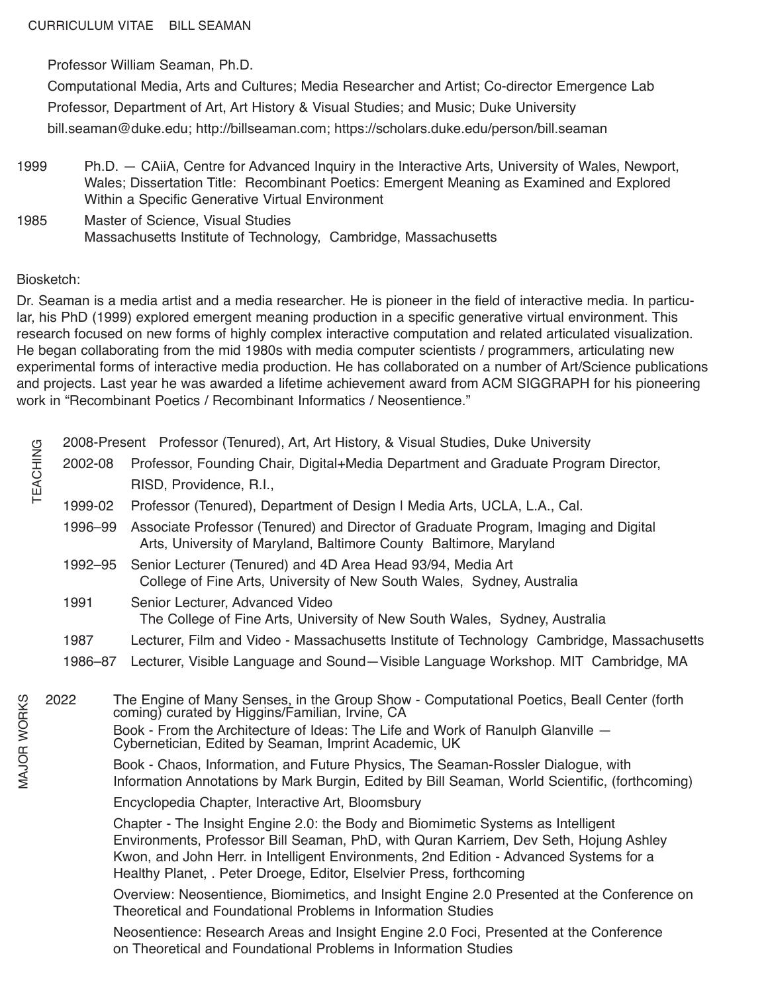Professor William Seaman, Ph.D.

Computational Media, Arts and Cultures; Media Researcher and Artist; Co-director Emergence Lab Professor, Department of Art, Art History & Visual Studies; and Music; Duke University bill.seaman@duke.edu; http://billseaman.com; https://scholars.duke.edu/person/bill.seaman

- 1999 Ph.D. CAiiA, Centre for Advanced Inquiry in the Interactive Arts, University of Wales, Newport, Wales; Dissertation Title: Recombinant Poetics: Emergent Meaning as Examined and Explored Within a Specific Generative Virtual Environment
- 1985 Master of Science, Visual Studies Massachusetts Institute of Technology, Cambridge, Massachusetts

## Biosketch:

Dr. Seaman is a media artist and a media researcher. He is pioneer in the field of interactive media. In particular, his PhD (1999) explored emergent meaning production in a specific generative virtual environment. This research focused on new forms of highly complex interactive computation and related articulated visualization. He began collaborating from the mid 1980s with media computer scientists / programmers, articulating new experimental forms of interactive media production. He has collaborated on a number of Art/Science publications and projects. Last year he was awarded a lifetime achievement award from ACM SIGGRAPH for his pioneering work in "Recombinant Poetics / Recombinant Informatics / Neosentience."

| TEACHING    |         | 2008-Present Professor (Tenured), Art, Art History, & Visual Studies, Duke University                                                                                                                                                                                                                                                       |  |  |
|-------------|---------|---------------------------------------------------------------------------------------------------------------------------------------------------------------------------------------------------------------------------------------------------------------------------------------------------------------------------------------------|--|--|
|             | 2002-08 | Professor, Founding Chair, Digital+Media Department and Graduate Program Director,                                                                                                                                                                                                                                                          |  |  |
|             |         | RISD, Providence, R.I.,                                                                                                                                                                                                                                                                                                                     |  |  |
|             | 1999-02 | Professor (Tenured), Department of Design I Media Arts, UCLA, L.A., Cal.                                                                                                                                                                                                                                                                    |  |  |
|             | 1996-99 | Associate Professor (Tenured) and Director of Graduate Program, Imaging and Digital<br>Arts, University of Maryland, Baltimore County Baltimore, Maryland                                                                                                                                                                                   |  |  |
|             | 1992-95 | Senior Lecturer (Tenured) and 4D Area Head 93/94, Media Art<br>College of Fine Arts, University of New South Wales, Sydney, Australia                                                                                                                                                                                                       |  |  |
|             | 1991    | Senior Lecturer, Advanced Video<br>The College of Fine Arts, University of New South Wales, Sydney, Australia                                                                                                                                                                                                                               |  |  |
|             | 1987    | Lecturer, Film and Video - Massachusetts Institute of Technology Cambridge, Massachusetts                                                                                                                                                                                                                                                   |  |  |
|             | 1986-87 | Lecturer, Visible Language and Sound-Visible Language Workshop. MIT Cambridge, MA                                                                                                                                                                                                                                                           |  |  |
| MAJOR WORKS | 2022    | The Engine of Many Senses, in the Group Show - Computational Poetics, Beall Center (forth<br>coming) curated by Higgins/Familian, Irvine, CA<br>Book - From the Architecture of Ideas: The Life and Work of Ranulph Glanville -<br>Cybernetician, Edited by Seaman, Imprint Academic, UK                                                    |  |  |
|             |         | Book - Chaos, Information, and Future Physics, The Seaman-Rossler Dialogue, with<br>Information Annotations by Mark Burgin, Edited by Bill Seaman, World Scientific, (forthcoming)                                                                                                                                                          |  |  |
|             |         | Encyclopedia Chapter, Interactive Art, Bloomsbury                                                                                                                                                                                                                                                                                           |  |  |
|             |         | Chapter - The Insight Engine 2.0: the Body and Biomimetic Systems as Intelligent<br>Environments, Professor Bill Seaman, PhD, with Quran Karriem, Dev Seth, Hojung Ashley<br>Kwon, and John Herr. in Intelligent Environments, 2nd Edition - Advanced Systems for a<br>Healthy Planet, . Peter Droege, Editor, Elselvier Press, forthcoming |  |  |
|             |         | Overview: Neosentience, Biomimetics, and Insight Engine 2.0 Presented at the Conference on<br>Theoretical and Foundational Problems in Information Studies                                                                                                                                                                                  |  |  |
|             |         | Neosentience: Research Areas and Insight Engine 2.0 Foci, Presented at the Conference<br>on Theoretical and Foundational Problems in Information Studies                                                                                                                                                                                    |  |  |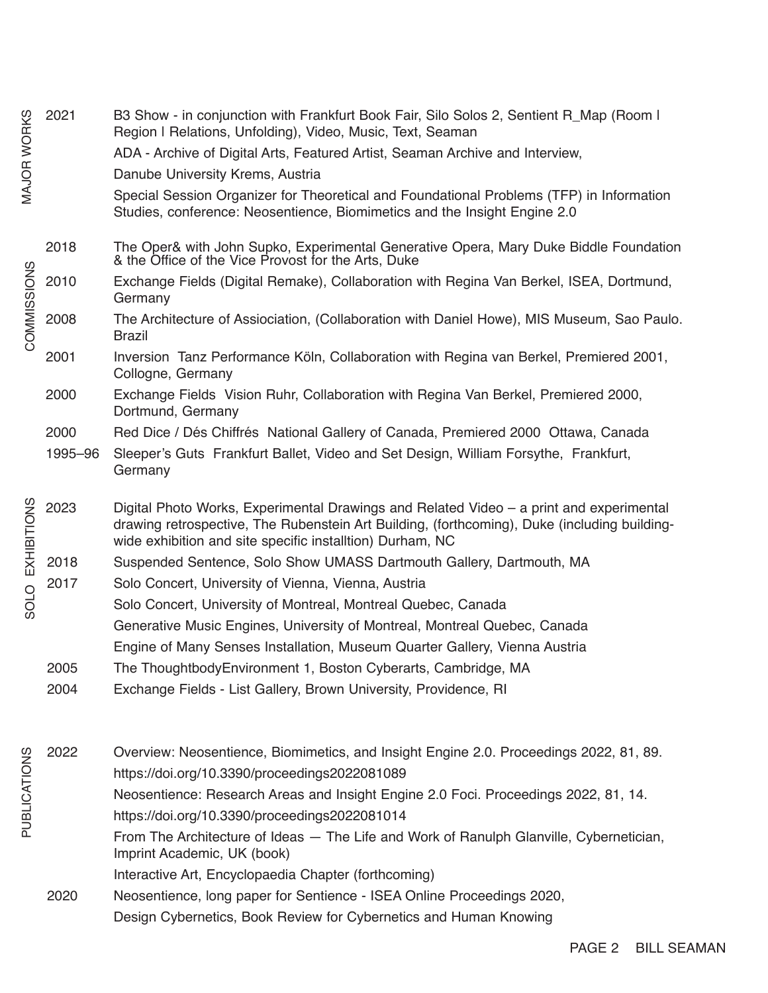|              | 2021    | B3 Show - in conjunction with Frankfurt Book Fair, Silo Solos 2, Sentient R_Map (Room I<br>Region I Relations, Unfolding), Video, Music, Text, Seaman                                                                                                |
|--------------|---------|------------------------------------------------------------------------------------------------------------------------------------------------------------------------------------------------------------------------------------------------------|
| MAJOR WORKS  |         | ADA - Archive of Digital Arts, Featured Artist, Seaman Archive and Interview,                                                                                                                                                                        |
|              |         | Danube University Krems, Austria                                                                                                                                                                                                                     |
|              |         | Special Session Organizer for Theoretical and Foundational Problems (TFP) in Information<br>Studies, conference: Neosentience, Biomimetics and the Insight Engine 2.0                                                                                |
| COMMISSIONS  | 2018    | The Oper& with John Supko, Experimental Generative Opera, Mary Duke Biddle Foundation<br>& the Office of the Vice Provost for the Arts, Duke                                                                                                         |
|              | 2010    | Exchange Fields (Digital Remake), Collaboration with Regina Van Berkel, ISEA, Dortmund,<br>Germany                                                                                                                                                   |
|              | 2008    | The Architecture of Assiociation, (Collaboration with Daniel Howe), MIS Museum, Sao Paulo.<br><b>Brazil</b>                                                                                                                                          |
|              | 2001    | Inversion Tanz Performance Köln, Collaboration with Regina van Berkel, Premiered 2001,<br>Collogne, Germany                                                                                                                                          |
|              | 2000    | Exchange Fields Vision Ruhr, Collaboration with Regina Van Berkel, Premiered 2000,<br>Dortmund, Germany                                                                                                                                              |
|              | 2000    | Red Dice / Dés Chiffrés National Gallery of Canada, Premiered 2000 Ottawa, Canada                                                                                                                                                                    |
|              | 1995-96 | Sleeper's Guts Frankfurt Ballet, Video and Set Design, William Forsythe, Frankfurt,<br>Germany                                                                                                                                                       |
| EXHIBITIONS  | 2023    | Digital Photo Works, Experimental Drawings and Related Video – a print and experimental<br>drawing retrospective, The Rubenstein Art Building, (forthcoming), Duke (including building-<br>wide exhibition and site specific installtion) Durham, NC |
|              | 2018    | Suspended Sentence, Solo Show UMASS Dartmouth Gallery, Dartmouth, MA                                                                                                                                                                                 |
|              | 2017    | Solo Concert, University of Vienna, Vienna, Austria                                                                                                                                                                                                  |
| SOLO         |         | Solo Concert, University of Montreal, Montreal Quebec, Canada                                                                                                                                                                                        |
|              |         | Generative Music Engines, University of Montreal, Montreal Quebec, Canada                                                                                                                                                                            |
|              |         | Engine of Many Senses Installation, Museum Quarter Gallery, Vienna Austria                                                                                                                                                                           |
|              | 2005    | The ThoughtbodyEnvironment 1, Boston Cyberarts, Cambridge, MA                                                                                                                                                                                        |
|              | 2004    | Exchange Fields - List Gallery, Brown University, Providence, RI                                                                                                                                                                                     |
| PUBLICATIONS | 2022    | Overview: Neosentience, Biomimetics, and Insight Engine 2.0. Proceedings 2022, 81, 89.                                                                                                                                                               |
|              |         | https://doi.org/10.3390/proceedings2022081089                                                                                                                                                                                                        |
|              |         | Neosentience: Research Areas and Insight Engine 2.0 Foci. Proceedings 2022, 81, 14.                                                                                                                                                                  |
|              |         | https://doi.org/10.3390/proceedings2022081014                                                                                                                                                                                                        |
|              |         | From The Architecture of Ideas - The Life and Work of Ranulph Glanville, Cybernetician,<br>Imprint Academic, UK (book)                                                                                                                               |
|              |         | Interactive Art, Encyclopaedia Chapter (forthcoming)                                                                                                                                                                                                 |
|              | 2020    | Neosentience, long paper for Sentience - ISEA Online Proceedings 2020,                                                                                                                                                                               |

Design Cybernetics, Book Review for Cybernetics and Human Knowing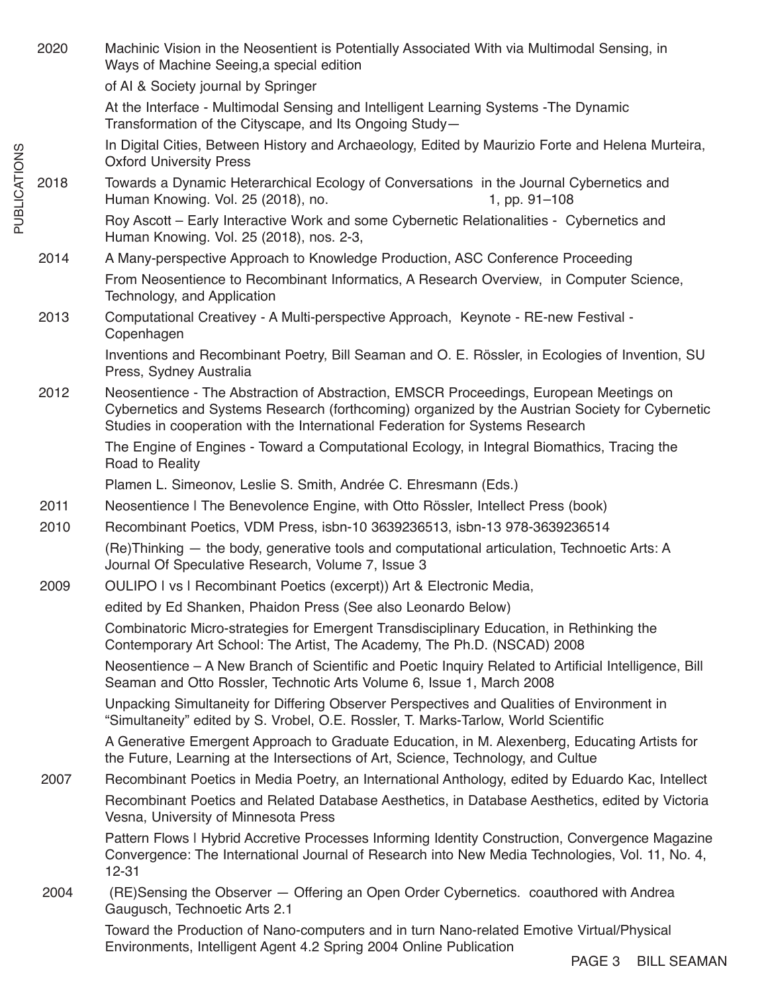2020 Machinic Vision in the Neosentient is Potentially Associated With via Multimodal Sensing, in Ways of Machine Seeing,a special edition of AI & Society journal by Springer At the Interface - Multimodal Sensing and Intelligent Learning Systems -The Dynamic Transformation of the Cityscape, and Its Ongoing Study— In Digital Cities, Between History and Archaeology, Edited by Maurizio Forte and Helena Murteira, Oxford University Press 2018 Towards a Dynamic Heterarchical Ecology of Conversations in the Journal Cybernetics and Human Knowing. Vol. 25 (2018), no. 1, pp. 91–108 Roy Ascott – Early Interactive Work and some Cybernetic Relationalities - Cybernetics and Human Knowing. Vol. 25 (2018), nos. 2-3, 2014 A Many-perspective Approach to Knowledge Production, ASC Conference Proceeding From Neosentience to Recombinant Informatics, A Research Overview, in Computer Science, Technology, and Application 2013 Computational Creativey - A Multi-perspective Approach, Keynote - RE-new Festival - Copenhagen Inventions and Recombinant Poetry, Bill Seaman and O. E. Rössler, in Ecologies of Invention, SU Press, Sydney Australia 2012 Neosentience - The Abstraction of Abstraction, EMSCR Proceedings, European Meetings on Cybernetics and Systems Research (forthcoming) organized by the Austrian Society for Cybernetic Studies in cooperation with the International Federation for Systems Research The Engine of Engines - Toward a Computational Ecology, in Integral Biomathics, Tracing the Road to Reality Plamen L. Simeonov, Leslie S. Smith, Andrée C. Ehresmann (Eds.) 2011 Neosentience | The Benevolence Engine, with Otto Rössler, Intellect Press (book) 2010 Recombinant Poetics, VDM Press, isbn-10 3639236513, isbn-13 978-3639236514 (Re)Thinking — the body, generative tools and computational articulation, Technoetic Arts: A Journal Of Speculative Research, Volume 7, Issue 3 2009 OULIPO | vs | Recombinant Poetics (excerpt)) Art & Electronic Media, edited by Ed Shanken, Phaidon Press (See also Leonardo Below) Combinatoric Micro-strategies for Emergent Transdisciplinary Education, in Rethinking the Contemporary Art School: The Artist, The Academy, The Ph.D. (NSCAD) 2008 Neosentience – A New Branch of Scientific and Poetic Inquiry Related to Artificial Intelligence, Bill Seaman and Otto Rossler, Technotic Arts Volume 6, Issue 1, March 2008 Unpacking Simultaneity for Differing Observer Perspectives and Qualities of Environment in "Simultaneity" edited by S. Vrobel, O.E. Rossler, T. Marks-Tarlow, World Scientific A Generative Emergent Approach to Graduate Education, in M. Alexenberg, Educating Artists for the Future, Learning at the Intersections of Art, Science, Technology, and Cultue 2007 Recombinant Poetics in Media Poetry, an International Anthology, edited by Eduardo Kac, Intellect Recombinant Poetics and Related Database Aesthetics, in Database Aesthetics, edited by Victoria Vesna, University of Minnesota Press Pattern Flows | Hybrid Accretive Processes Informing Identity Construction, Convergence Magazine Convergence: The International Journal of Research into New Media Technologies, Vol. 11, No. 4, 12-31 2004 (RE)Sensing the Observer — Offering an Open Order Cybernetics. coauthored with Andrea Gaugusch, Technoetic Arts 2.1 Toward the Production of Nano-computers and in turn Nano-related Emotive Virtual/Physical Environments, Intelligent Agent 4.2 Spring 2004 Online Publication

**PUBLICATIONS** PUBLICATIONS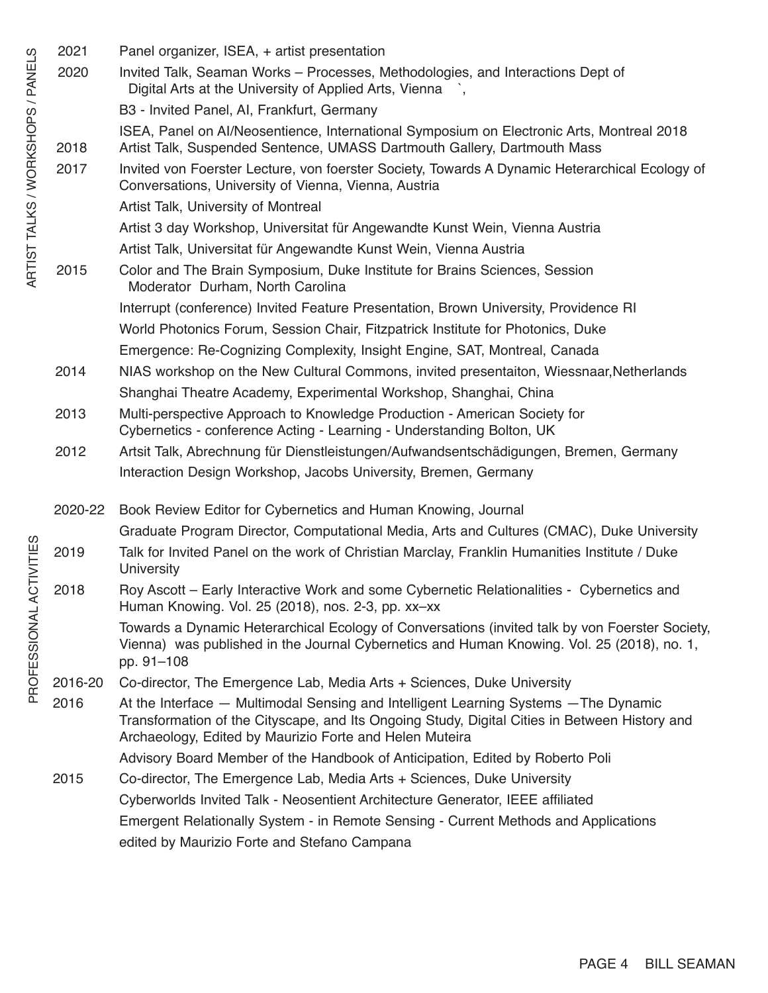2021 Panel organizer, ISEA, + artist presentation 2020 Invited Talk, Seaman Works – Processes, Methodologies, and Interactions Dept of Digital Arts at the University of Applied Arts, Vienna , B3 - Invited Panel, AI, Frankfurt, Germany ISEA, Panel on AI/Neosentience, International Symposium on Electronic Arts, Montreal 2018 2018 Artist Talk, Suspended Sentence, UMASS Dartmouth Gallery, Dartmouth Mass 2017 Invited von Foerster Lecture, von foerster Society, Towards A Dynamic Heterarchical Ecology of Conversations, University of Vienna, Vienna, Austria Artist Talk, University of Montreal Artist 3 day Workshop, Universitat für Angewandte Kunst Wein, Vienna Austria Artist Talk, Universitat für Angewandte Kunst Wein, Vienna Austria 2015 Color and The Brain Symposium, Duke Institute for Brains Sciences, Session Moderator Durham, North Carolina Interrupt (conference) Invited Feature Presentation, Brown University, Providence RI World Photonics Forum, Session Chair, Fitzpatrick Institute for Photonics, Duke Emergence: Re-Cognizing Complexity, Insight Engine, SAT, Montreal, Canada 2014 NIAS workshop on the New Cultural Commons, invited presentaiton, Wiessnaar,Netherlands Shanghai Theatre Academy, Experimental Workshop, Shanghai, China 2013 Multi-perspective Approach to Knowledge Production - American Society for Cybernetics - conference Acting - Learning - Understanding Bolton, UK 2012 Artsit Talk, Abrechnung für Dienstleistungen/Aufwandsentschädigungen, Bremen, Germany Interaction Design Workshop, Jacobs University, Bremen, Germany 2020-22 Book Review Editor for Cybernetics and Human Knowing, Journal Graduate Program Director, Computational Media, Arts and Cultures (CMAC), Duke University 2019 Talk for Invited Panel on the work of Christian Marclay, Franklin Humanities Institute / Duke **University** 2018 Roy Ascott – Early Interactive Work and some Cybernetic Relationalities - Cybernetics and Human Knowing. Vol. 25 (2018), nos. 2-3, pp. xx–xx Towards a Dynamic Heterarchical Ecology of Conversations (invited talk by von Foerster Society, Vienna) was published in the Journal Cybernetics and Human Knowing. Vol. 25 (2018), no. 1, pp. 91–108 2016-20 Co-director, The Emergence Lab, Media Arts + Sciences, Duke University 2016 At the Interface — Multimodal Sensing and Intelligent Learning Systems —The Dynamic Transformation of the Cityscape, and Its Ongoing Study, Digital Cities in Between History and Archaeology, Edited by Maurizio Forte and Helen Muteira Advisory Board Member of the Handbook of Anticipation, Edited by Roberto Poli 2015 Co-director, The Emergence Lab, Media Arts + Sciences, Duke University Cyberworlds Invited Talk - Neosentient Architecture Generator, IEEE affiliated Emergent Relationally System - in Remote Sensing - Current Methods and Applications edited by Maurizio Forte and Stefano Campana

## ARTIST TALKS / WORKSHOPS / PANELS ARTIST TALKS / WORKSHOPS / PANELS

PROFESSIONAL ACTIVITIES PROFESSIONAL ACTIVITIES